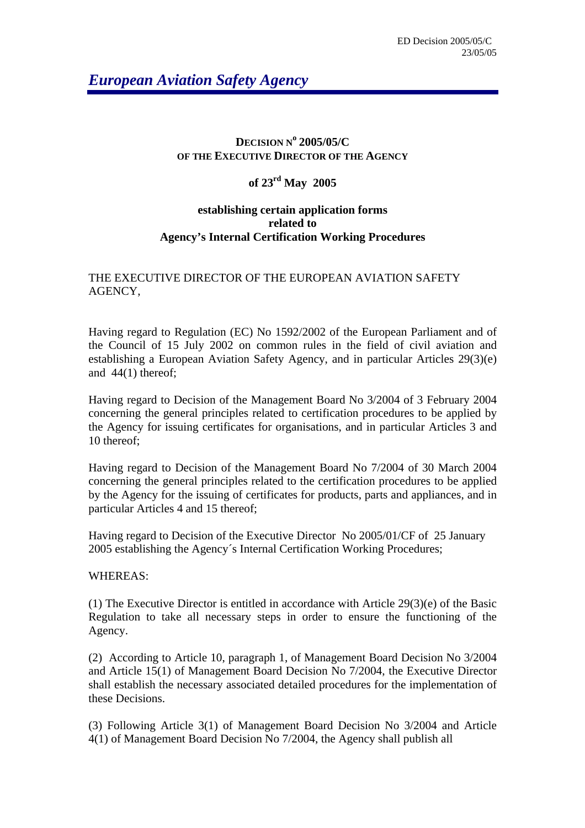# *European Aviation Safety Agency*

#### **DECISION N<sup>o</sup> 2005/05/C OF THE EXECUTIVE DIRECTOR OF THE AGENCY**

## **of 23rd May 2005**

## **establishing certain application forms related to Agency's Internal Certification Working Procedures**

## THE EXECUTIVE DIRECTOR OF THE EUROPEAN AVIATION SAFETY AGENCY,

Having regard to Regulation (EC) No 1592/2002 of the European Parliament and of the Council of 15 July 2002 on common rules in the field of civil aviation and establishing a European Aviation Safety Agency, and in particular Articles 29(3)(e) and 44(1) thereof;

Having regard to Decision of the Management Board No 3/2004 of 3 February 2004 concerning the general principles related to certification procedures to be applied by the Agency for issuing certificates for organisations, and in particular Articles 3 and 10 thereof;

Having regard to Decision of the Management Board No 7/2004 of 30 March 2004 concerning the general principles related to the certification procedures to be applied by the Agency for the issuing of certificates for products, parts and appliances, and in particular Articles 4 and 15 thereof;

Having regard to Decision of the Executive Director No 2005/01/CF of 25 January 2005 establishing the Agency´s Internal Certification Working Procedures;

## WHEREAS:

(1) The Executive Director is entitled in accordance with Article 29(3)(e) of the Basic Regulation to take all necessary steps in order to ensure the functioning of the Agency.

(2) According to Article 10, paragraph 1, of Management Board Decision No 3/2004 and Article 15(1) of Management Board Decision No 7/2004, the Executive Director shall establish the necessary associated detailed procedures for the implementation of these Decisions.

(3) Following Article 3(1) of Management Board Decision No 3/2004 and Article 4(1) of Management Board Decision No 7/2004, the Agency shall publish all